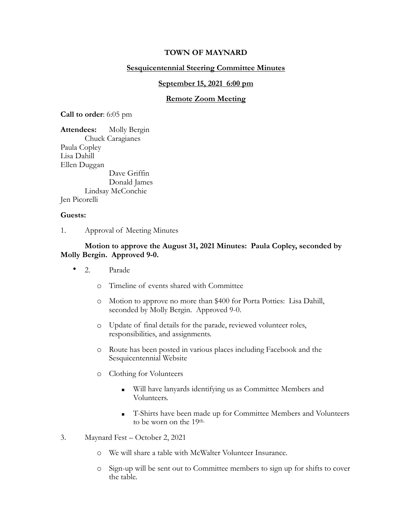# **TOWN OF MAYNARD**

## **Sesquicentennial Steering Committee Minutes**

#### **September 15, 2021 6:00 pm**

#### **Remote Zoom Meeting**

**Call to order**: 6:05 pm

**Attendees:** Molly Bergin Chuck Caragianes Paula Copley Lisa Dahill Ellen Duggan Dave Griffin Donald James Lindsay McConchie Jen Picorelli

#### **Guests:**

1. Approval of Meeting Minutes

### **Motion to approve the August 31, 2021 Minutes: Paula Copley, seconded by Molly Bergin. Approved 9-0.**

- 2. Parade
	- o Timeline of events shared with Committee
	- o Motion to approve no more than \$400 for Porta Potties: Lisa Dahill, seconded by Molly Bergin. Approved 9-0.
	- o Update of final details for the parade, reviewed volunteer roles, responsibilities, and assignments.
	- o Route has been posted in various places including Facebook and the Sesquicentennial Website
	- o Clothing for Volunteers
		- Will have lanyards identifying us as Committee Members and Volunteers.
		- **EXECUTE:** T-Shirts have been made up for Committee Members and Volunteers to be worn on the 19th.
- 3. Maynard Fest October 2, 2021
	- o We will share a table with McWalter Volunteer Insurance.
	- o Sign-up will be sent out to Committee members to sign up for shifts to cover the table.